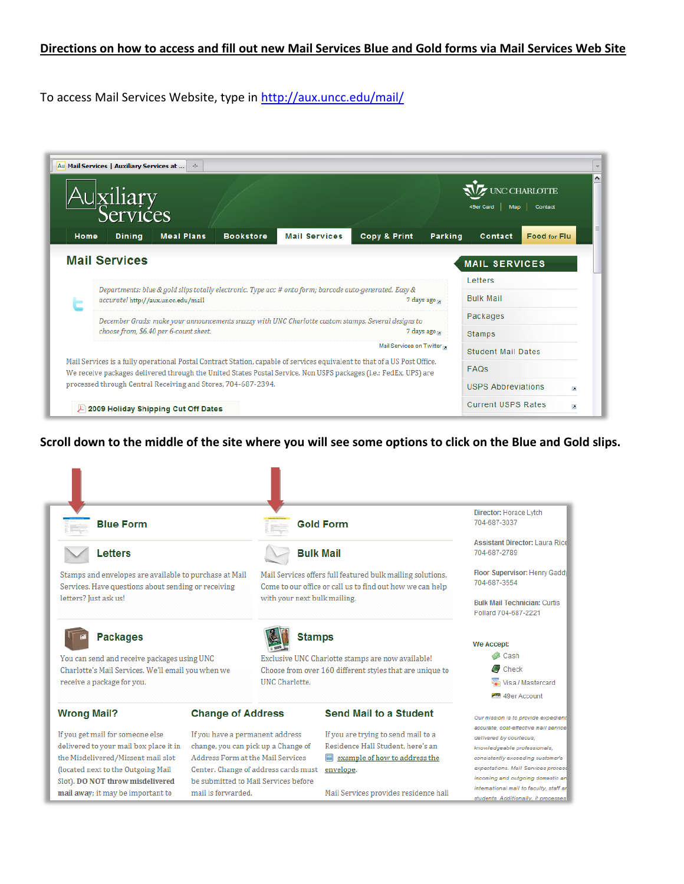## **Directions on how to access and fill out new Mail Services Blue and Gold forms via Mail Services Web Site**

To access Mail Services Website, type in<http://aux.uncc.edu/mail/>

| Au Mail Services   Auxiliary Services at<br>$\mathcal{A}_{\mathcal{P}}$ .                                                                                                                                                                     |                                                                                                         |                           |         |                                                       |                          |  |
|-----------------------------------------------------------------------------------------------------------------------------------------------------------------------------------------------------------------------------------------------|---------------------------------------------------------------------------------------------------------|---------------------------|---------|-------------------------------------------------------|--------------------------|--|
| xiliary<br>ervices                                                                                                                                                                                                                            |                                                                                                         |                           |         | HARLOTTE<br>Contact<br>49er Card<br>Map               |                          |  |
| Home<br><b>Meal Plans</b><br><b>Dining</b>                                                                                                                                                                                                    | <b>Mail Services</b><br><b>Bookstore</b>                                                                | Copy & Print              | Parking | Contact                                               | <b>Food for Flu.</b>     |  |
| <b>Mail Services</b><br><b>MAIL SERVICES</b>                                                                                                                                                                                                  |                                                                                                         |                           |         |                                                       |                          |  |
|                                                                                                                                                                                                                                               | Departments: blue & gold slips totally electronic. Type acc # onto form; barcode auto-generated. Easy & |                           |         | Letters                                               |                          |  |
| accurate! http://aux.uncc.edu/mail                                                                                                                                                                                                            |                                                                                                         | 7 days ago                |         | <b>Bulk Mail</b>                                      |                          |  |
| December Grads: make your announcements snazzy with UNC Charlotte custom stamps. Several designs to                                                                                                                                           |                                                                                                         |                           |         | Packages                                              |                          |  |
| choose from, \$6.40 per 6-count sheet.                                                                                                                                                                                                        | 7 days ago                                                                                              | Stamps                    |         |                                                       |                          |  |
|                                                                                                                                                                                                                                               | Mail Services on Twitter                                                                                | <b>Student Mail Dates</b> |         |                                                       |                          |  |
| Mail Services is a fully operational Postal Contract Station, capable of services equivalent to that of a US Post Office.<br>We receive packages delivered through the United States Postal Service. Non USPS packages (i.e.: FedEx, UPS) are |                                                                                                         |                           |         | <b>FAQs</b>                                           |                          |  |
| processed through Central Receiving and Stores, 704-687-2394.                                                                                                                                                                                 |                                                                                                         |                           |         | <b>USPS Abbreviations</b><br>$\overline{\phantom{a}}$ |                          |  |
| 2009 Holiday Shipping Cut Off Dates                                                                                                                                                                                                           |                                                                                                         |                           |         | <b>Current USPS Rates</b>                             | $\overline{\phantom{a}}$ |  |

**Scroll down to the middle of the site where you will see some options to click on the Blue and Gold slips.** 

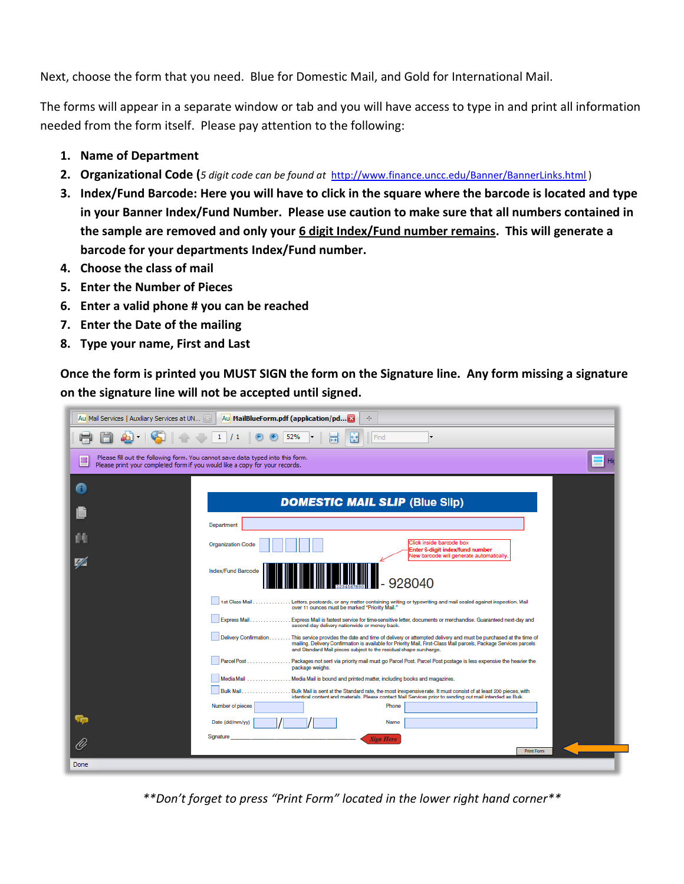Next, choose the form that you need. Blue for Domestic Mail, and Gold for International Mail.

The forms will appear in a separate window or tab and you will have access to type in and print all information needed from the form itself. Please pay attention to the following:

- **1. Name of Department**
- **2. Organizational Code (***5 digit code can be found at* <http://www.finance.uncc.edu/Banner/BannerLinks.html> )
- **3. Index/Fund Barcode: Here you will have to click in the square where the barcode is located and type in your Banner Index/Fund Number. Please use caution to make sure that all numbers contained in the sample are removed and only your 6 digit Index/Fund number remains. This will generate a barcode for your departments Index/Fund number.**
- **4. Choose the class of mail**
- **5. Enter the Number of Pieces**
- **6. Enter a valid phone # you can be reached**
- **7. Enter the Date of the mailing**
- **8. Type your name, First and Last**

**Once the form is printed you MUST SIGN the form on the Signature line. Any form missing a signature on the signature line will not be accepted until signed.** 

|      | Au MailBlueForm.pdf (application/pd X<br>Au Mail Services   Auxiliary Services at UN [8]<br>÷                                                                                                                                                                                                                                       |  |  |  |  |  |
|------|-------------------------------------------------------------------------------------------------------------------------------------------------------------------------------------------------------------------------------------------------------------------------------------------------------------------------------------|--|--|--|--|--|
|      | $\mathbf{1}$<br>$\frac{1}{1}$<br>52%<br>Find<br>団                                                                                                                                                                                                                                                                                   |  |  |  |  |  |
| E    | Please fill out the following form. You cannot save data typed into this form.<br>Please print your completed form if you would like a copy for your records.                                                                                                                                                                       |  |  |  |  |  |
| A    |                                                                                                                                                                                                                                                                                                                                     |  |  |  |  |  |
|      | <b>DOMESTIC MAIL SLIP (Blue Slip)</b>                                                                                                                                                                                                                                                                                               |  |  |  |  |  |
|      | Department                                                                                                                                                                                                                                                                                                                          |  |  |  |  |  |
|      | Click inside barcode box<br><b>Organization Code</b><br>Enter 6-digit index/fund number                                                                                                                                                                                                                                             |  |  |  |  |  |
| 42   | New barcode will generate automatically.<br>Index/Fund Barcode<br>928040                                                                                                                                                                                                                                                            |  |  |  |  |  |
|      | 1st Class Mail.  Letters, postcards, or any matter containing writing or typewriting and mail sealed against inspection. Mail<br>over 11 ounces must be marked "Priority Mail."                                                                                                                                                     |  |  |  |  |  |
|      | Express Mail Express Mail is fastest service for time-sensitive letter, documents or merchandise. Guaranteed next-day and<br>second-day delivery nationwide or money back.                                                                                                                                                          |  |  |  |  |  |
|      | Delivery Confirmation<br>. This service provides the date and time of delivery or attempted delivery and must be purchased at the time of<br>mailing. Delivery Confirmation is available for Priority Mail, First-Class Mail parcels, Package Services parcels<br>and Standard Mail pieces subject to the residual shape surcharge. |  |  |  |  |  |
|      | . Packages not sent via priority mail must go Parcel Post. Parcel Post postage is less expensive the heavier the<br>Parcel Post<br>package weighs.                                                                                                                                                                                  |  |  |  |  |  |
|      | Media Mail  Media Mail is bound and printed matter, including books and magazines.                                                                                                                                                                                                                                                  |  |  |  |  |  |
|      | <b>Bulk Mail</b><br>Bulk Mail is sent at the Standard rate, the most inexpensive rate. It must consist of at least 200 pieces, with<br>identical content and materials. Please contact Mail Services prior to sending out mail intended as Bulk.                                                                                    |  |  |  |  |  |
|      | Number of pieces<br>Phone                                                                                                                                                                                                                                                                                                           |  |  |  |  |  |
| è    | Date (dd/mm/yy)<br>Name                                                                                                                                                                                                                                                                                                             |  |  |  |  |  |
| U)   | Signature<br><b>Sign Here</b><br><b>Print Form</b>                                                                                                                                                                                                                                                                                  |  |  |  |  |  |
| Done |                                                                                                                                                                                                                                                                                                                                     |  |  |  |  |  |

*\*\*Don't forget to press "Print Form" located in the lower right hand corner\*\**